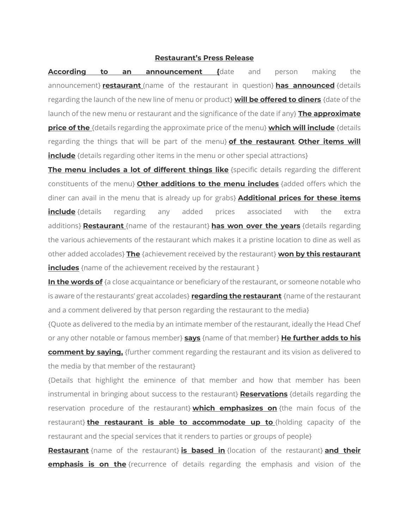## **Restaurant's Press Release**

**According to an announcement {**date and person making the announcement} **restaurant** (name of the restaurant in question} **has announced** {details regarding the launch of the new line of menu or product} **will be offered to diners** {date of the launch of the new menu or restaurant and the significance of the date if any} **The approximate price of the** {details regarding the approximate price of the menu} **which will include** {details regarding the things that will be part of the menu} **of the restaurant**. **Other items will include** {details regarding other items in the menu or other special attractions}

**The menu includes a lot of different things like** {specific details regarding the different constituents of the menu} **Other additions to the menu includes** {added offers which the diner can avail in the menu that is already up for grabs} **Additional prices for these items include** {details regarding any added prices associated with the extra additions} **Restaurant** {name of the restaurant} **has won over the years** {details regarding the various achievements of the restaurant which makes it a pristine location to dine as well as other added accolades} **The** {achievement received by the restaurant} **won by this restaurant includes** {name of the achievement received by the restaurant }

**In the words of** {a close acquaintance or beneficiary of the restaurant, or someone notable who is aware of the restaurants' great accolades} **regarding the restaurant** {name of the restaurant and a comment delivered by that person regarding the restaurant to the media}

{Quote as delivered to the media by an intimate member of the restaurant, ideally the Head Chef or any other notable or famous member} **says** {name of that member} **He further adds to his comment by saying,** {further comment regarding the restaurant and its vision as delivered to the media by that member of the restaurant}

{Details that highlight the eminence of that member and how that member has been instrumental in bringing about success to the restaurant} **Reservations** {details regarding the reservation procedure of the restaurant} **which emphasizes on** {the main focus of the restaurant} **the restaurant is able to accommodate up to** {holding capacity of the restaurant and the special services that it renders to parties or groups of people}

**Restaurant** {name of the restaurant} **is based in** {location of the restaurant} **and their emphasis is on the** {recurrence of details regarding the emphasis and vision of the